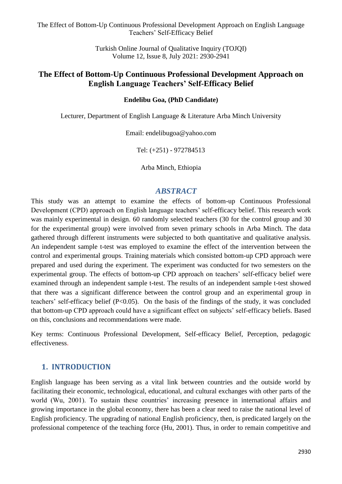> Turkish Online Journal of Qualitative Inquiry (TOJQI) Volume 12, Issue 8, July 2021: 2930-2941

## **The Effect of Bottom-Up Continuous Professional Development Approach on English Language Teachers' Self-Efficacy Belief**

#### **Endelibu Goa, (PhD Candidate)**

Lecturer, Department of English Language & Literature Arba Minch University

Email: endelibugoa@yahoo.com

Tel: (+251) - 972784513

Arba Minch, Ethiopia

#### *ABSTRACT*

This study was an attempt to examine the effects of bottom-up Continuous Professional Development (CPD) approach on English language teachers' self-efficacy belief. This research work was mainly experimental in design. 60 randomly selected teachers (30 for the control group and 30 for the experimental group) were involved from seven primary schools in Arba Minch. The data gathered through different instruments were subjected to both quantitative and qualitative analysis. An independent sample t-test was employed to examine the effect of the intervention between the control and experimental groups. Training materials which consisted bottom-up CPD approach were prepared and used during the experiment. The experiment was conducted for two semesters on the experimental group. The effects of bottom-up CPD approach on teachers' self-efficacy belief were examined through an independent sample t-test. The results of an independent sample t-test showed that there was a significant difference between the control group and an experimental group in teachers' self-efficacy belief (P<0.05). On the basis of the findings of the study, it was concluded that bottom-up CPD approach could have a significant effect on subjects' self-efficacy beliefs. Based on this, conclusions and recommendations were made.

Key terms: Continuous Professional Development, Self-efficacy Belief, Perception, pedagogic effectiveness.

## **1. INTRODUCTION**

English language has been serving as a vital link between countries and the outside world by facilitating their economic, technological, educational, and cultural exchanges with other parts of the world (Wu, 2001). To sustain these countries' increasing presence in international affairs and growing importance in the global economy, there has been a clear need to raise the national level of English proficiency. The upgrading of national English proficiency, then, is predicated largely on the professional competence of the teaching force (Hu, 2001). Thus, in order to remain competitive and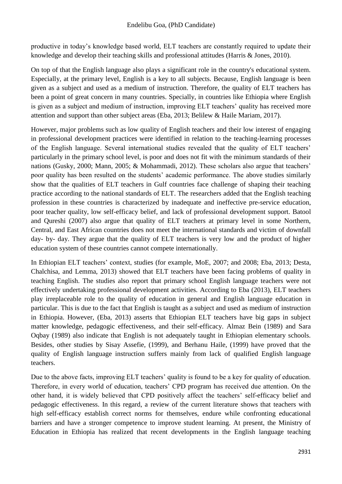productive in today's knowledge based world, ELT teachers are constantly required to update their knowledge and develop their teaching skills and professional attitudes (Harris & Jones, 2010).

On top of that the English language also plays a significant role in the country's educational system. Especially, at the primary level, English is a key to all subjects. Because, English language is been given as a subject and used as a medium of instruction. Therefore, the quality of ELT teachers has been a point of great concern in many countries. Specially, in countries like Ethiopia where English is given as a subject and medium of instruction, improving ELT teachers' quality has received more attention and support than other subject areas (Eba, 2013; Belilew & Haile Mariam, 2017).

However, major problems such as low quality of English teachers and their low interest of engaging in professional development practices were identified in relation to the teaching-learning processes of the English language. Several international studies revealed that the quality of ELT teachers' particularly in the primary school level, is poor and does not fit with the minimum standards of their nations (Gusky, 2000; Mann, 2005; & Mohammadi, 2012). These scholars also argue that teachers' poor quality has been resulted on the students' academic performance. The above studies similarly show that the qualities of ELT teachers in Gulf countries face challenge of shaping their teaching practice according to the national standards of ELT. The researchers added that the English teaching profession in these countries is characterized by inadequate and ineffective pre-service education, poor teacher quality, low self-efficacy belief, and lack of professional development support. Batool and Qureshi (2007) also argue that quality of ELT teachers at primary level in some Northern, Central, and East African countries does not meet the international standards and victim of downfall day- by- day. They argue that the quality of ELT teachers is very low and the product of higher education system of these countries cannot compete internationally.

In Ethiopian ELT teachers' context, studies (for example, MoE, 2007; and 2008; Eba, 2013; Desta, Chalchisa, and Lemma, 2013) showed that ELT teachers have been facing problems of quality in teaching English. The studies also report that primary school English language teachers were not effectively undertaking professional development activities. According to Eba (2013), ELT teachers play irreplaceable role to the quality of education in general and English language education in particular. This is due to the fact that English is taught as a subject and used as medium of instruction in Ethiopia. However, (Eba, 2013) asserts that Ethiopian ELT teachers have big gaps in subject matter knowledge, pedagogic effectiveness, and their self-efficacy. Almaz Bein (1989) and Sara Oqbay (1989) also indicate that English is not adequately taught in Ethiopian elementary schools. Besides, other studies by Sisay Assefie, (1999), and Berhanu Haile, (1999) have proved that the quality of English language instruction suffers mainly from lack of qualified English language teachers.

Due to the above facts, improving ELT teachers' quality is found to be a key for quality of education. Therefore, in every world of education, teachers' CPD program has received due attention. On the other hand, it is widely believed that CPD positively affect the teachers' self-efficacy belief and pedagogic effectiveness. In this regard, a review of the current literature shows that teachers with high self-efficacy establish correct norms for themselves, endure while confronting educational barriers and have a stronger competence to improve student learning. At present, the Ministry of Education in Ethiopia has realized that recent developments in the English language teaching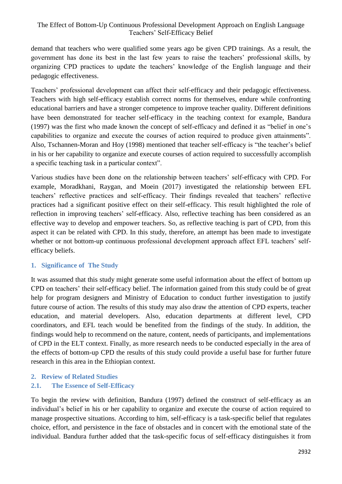demand that teachers who were qualified some years ago be given CPD trainings. As a result, the government has done its best in the last few years to raise the teachers' professional skills, by organizing CPD practices to update the teachers' knowledge of the English language and their pedagogic effectiveness.

Teachers' professional development can affect their self-efficacy and their pedagogic effectiveness. Teachers with high self-efficacy establish correct norms for themselves, endure while confronting educational barriers and have a stronger competence to improve teacher quality. Different definitions have been demonstrated for teacher self-efficacy in the teaching context for example, Bandura (1997) was the first who made known the concept of self-efficacy and defined it as "belief in one's capabilities to organize and execute the courses of action required to produce given attainments". Also, Tschannen-Moran and Hoy (1998) mentioned that teacher self-efficacy is "the teacher's belief in his or her capability to organize and execute courses of action required to successfully accomplish a specific teaching task in a particular context".

Various studies have been done on the relationship between teachers' self-efficacy with CPD. For example, Moradkhani, Raygan, and Moein (2017) investigated the relationship between EFL teachers' reflective practices and self-efficacy. Their findings revealed that teachers' reflective practices had a significant positive effect on their self-efficacy. This result highlighted the role of reflection in improving teachers' self-efficacy. Also, reflective teaching has been considered as an effective way to develop and empower teachers. So, as reflective teaching is part of CPD, from this aspect it can be related with CPD. In this study, therefore, an attempt has been made to investigate whether or not bottom-up continuous professional development approach affect EFL teachers' selfefficacy beliefs.

## **1. Significance of The Study**

It was assumed that this study might generate some useful information about the effect of bottom up CPD on teachers' their self-efficacy belief. The information gained from this study could be of great help for program designers and Ministry of Education to conduct further investigation to justify future course of action. The results of this study may also draw the attention of CPD experts, teacher education, and material developers. Also, education departments at different level, CPD coordinators, and EFL teach would be benefited from the findings of the study. In addition, the findings would help to recommend on the nature, content, needs of participants, and implementations of CPD in the ELT context. Finally, as more research needs to be conducted especially in the area of the effects of bottom-up CPD the results of this study could provide a useful base for further future research in this area in the Ethiopian context.

# **2. Review of Related Studies**

## **2.1. The Essence of Self-Efficacy**

To begin the review with definition, Bandura (1997) defined the construct of self-efficacy as an individual's belief in his or her capability to organize and execute the course of action required to manage prospective situations. According to him, self-efficacy is a task-specific belief that regulates choice, effort, and persistence in the face of obstacles and in concert with the emotional state of the individual. Bandura further added that the task-specific focus of self-efficacy distinguishes it from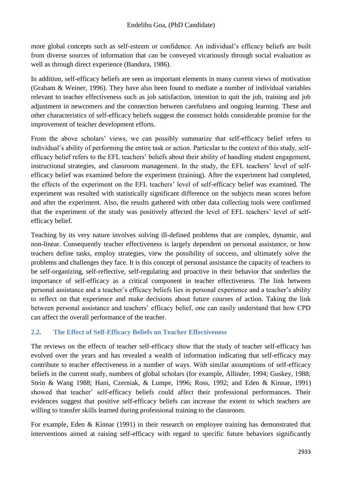more global concepts such as self-esteem or confidence. An individual's efficacy beliefs are built from diverse sources of information that can be conveyed vicariously through social evaluation as well as through direct experience (Bandura, 1986).

In addition, self-efficacy beliefs are seen as important elements in many current views of motivation (Graham & Weiner, 1996). They have also been found to mediate a number of individual variables relevant to teacher effectiveness such as job satisfaction, intention to quit the job, training and job adjustment in newcomers and the connection between carefulness and ongoing learning. These and other characteristics of self-efficacy beliefs suggest the construct holds considerable promise for the improvement of teacher development efforts.

From the above scholars' views, we can possibly summarize that self-efficacy belief refers to individual's ability of performing the entire task or action. Particular to the context of this study, selfefficacy belief refers to the EFL teachers' beliefs about their ability of handling student engagement, instructional strategies, and classroom management. In the study, the EFL teachers' level of selfefficacy belief was examined before the experiment (training). After the experiment had completed, the effects of the experiment on the EFL teachers' level of self-efficacy belief was examined. The experiment was resulted with statistically significant difference on the subjects mean scores before and after the experiment. Also, the results gathered with other data collecting tools were confirmed that the experiment of the study was positively affected the level of EFL teachers' level of selfefficacy belief.

Teaching by its very nature involves solving ill-defined problems that are complex, dynamic, and non-linear. Consequently teacher effectiveness is largely dependent on personal assistance, or how teachers define tasks, employ strategies, view the possibility of success, and ultimately solve the problems and challenges they face. It is this concept of personal assistance the capacity of teachers to be self-organizing, self-reflective, self-regulating and proactive in their behavior that underlies the importance of self-efficacy as a critical component in teacher effectiveness. The link between personal assistance and a teacher's efficacy beliefs lies in personal experience and a teacher's ability to reflect on that experience and make decisions about future courses of action. Taking the link between personal assistance and teachers' efficacy belief, one can easily understand that how CPD can affect the overall performance of the teacher.

## **2.2. The Effect of Self-Efficacy Beliefs on Teacher Effectiveness**

The reviews on the effects of teacher self-efficacy show that the study of teacher self-efficacy has evolved over the years and has revealed a wealth of information indicating that self-efficacy may contribute to teacher effectiveness in a number of ways. With similar assumptions of self-efficacy beliefs in the current study, numbers of global scholars (for example, Allinder, 1994; Guskey, 1988; Stein & Wang 1988; Hani, Czerniak, & Lumpe, 1996; Ross, 1992; and Eden & Kinnar, 1991) showed that teacher' self-efficacy beliefs could affect their professional performances. Their evidences suggest that positive self-efficacy beliefs can increase the extent to which teachers are willing to transfer skills learned during professional training to the classroom.

For example, Eden & Kinnar (1991) in their research on employee training has demonstrated that interventions aimed at raising self-efficacy with regard to specific future behaviors significantly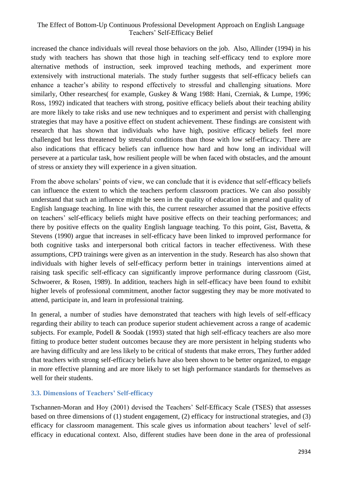increased the chance individuals will reveal those behaviors on the job. Also, Allinder (1994) in his study with teachers has shown that those high in teaching self-efficacy tend to explore more alternative methods of instruction, seek improved teaching methods, and experiment more extensively with instructional materials. The study further suggests that self-efficacy beliefs can enhance a teacher's ability to respond effectively to stressful and challenging situations. More similarly, Other researches( for example, Guskey & Wang 1988: Hani, Czerniak, & Lumpe, 1996; Ross, 1992) indicated that teachers with strong, positive efficacy beliefs about their teaching ability are more likely to take risks and use new techniques and to experiment and persist with challenging strategies that may have a positive effect on student achievement. These findings are consistent with research that has shown that individuals who have high, positive efficacy beliefs feel more challenged but less threatened by stressful conditions than those with low self-efficacy. There are also indications that efficacy beliefs can influence how hard and how long an individual will persevere at a particular task, how resilient people will be when faced with obstacles, and the amount of stress or anxiety they will experience in a given situation.

From the above scholars' points of view, we can conclude that it is evidence that self-efficacy beliefs can influence the extent to which the teachers perform classroom practices. We can also possibly understand that such an influence might be seen in the quality of education in general and quality of English language teaching. In line with this, the current researcher assumed that the positive effects on teachers' self-efficacy beliefs might have positive effects on their teaching performances; and there by positive effects on the quality English language teaching. To this point, Gist, Bavetta, & Stevens (1990) argue that increases in self-efficacy have been linked to improved performance for both cognitive tasks and interpersonal both critical factors in teacher effectiveness. With these assumptions, CPD trainings were given as an intervention in the study. Research has also shown that individuals with higher levels of self-efficacy perform better in trainings interventions aimed at raising task specific self-efficacy can significantly improve performance during classroom (Gist, Schwoerer, & Rosen, 1989). In addition, teachers high in self-efficacy have been found to exhibit higher levels of professional commitment, another factor suggesting they may be more motivated to attend, participate in, and learn in professional training.

In general, a number of studies have demonstrated that teachers with high levels of self-efficacy regarding their ability to teach can produce superior student achievement across a range of academic subjects. For example, Podell & Soodak (1993) stated that high self-efficacy teachers are also more fitting to produce better student outcomes because they are more persistent in helping students who are having difficulty and are less likely to be critical of students that make errors, They further added that teachers with strong self-efficacy beliefs have also been shown to be better organized, to engage in more effective planning and are more likely to set high performance standards for themselves as well for their students.

## **3.3. Dimensions of Teachers' Self-efficacy**

Tschannen-Moran and Hoy (2001) devised the Teachers' Self-Efficacy Scale (TSES) that assesses based on three dimensions of (1) student engagement, (2) efficacy for instructional strategies, and (3) efficacy for classroom management. This scale gives us information about teachers' level of selfefficacy in educational context. Also, different studies have been done in the area of professional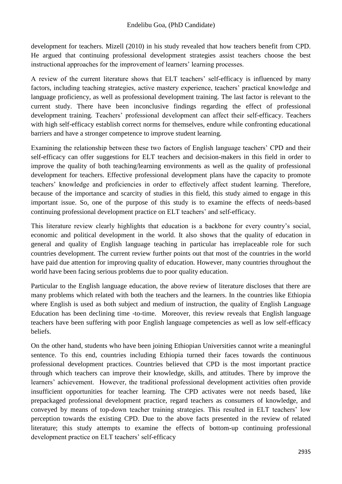development for teachers. Mizell (2010) in his study revealed that how teachers benefit from CPD. He argued that continuing professional development strategies assist teachers choose the best instructional approaches for the improvement of learners' learning processes.

A review of the current literature shows that ELT teachers' self-efficacy is influenced by many factors, including teaching strategies, active mastery experience, teachers' practical knowledge and language proficiency, as well as professional development training. The last factor is relevant to the current study. There have been inconclusive findings regarding the effect of professional development training. Teachers' professional development can affect their self-efficacy. Teachers with high self-efficacy establish correct norms for themselves, endure while confronting educational barriers and have a stronger competence to improve student learning.

Examining the relationship between these two factors of English language teachers' CPD and their self-efficacy can offer suggestions for ELT teachers and decision-makers in this field in order to improve the quality of both teaching/learning environments as well as the quality of professional development for teachers. Effective professional development plans have the capacity to promote teachers' knowledge and proficiencies in order to effectively affect student learning. Therefore, because of the importance and scarcity of studies in this field, this study aimed to engage in this important issue. So, one of the purpose of this study is to examine the effects of needs-based continuing professional development practice on ELT teachers' and self-efficacy.

This literature review clearly highlights that education is a backbone for every country's social, economic and political development in the world. It also shows that the quality of education in general and quality of English language teaching in particular has irreplaceable role for such countries development. The current review further points out that most of the countries in the world have paid due attention for improving quality of education. However, many countries throughout the world have been facing serious problems due to poor quality education.

Particular to the English language education, the above review of literature discloses that there are many problems which related with both the teachers and the learners. In the countries like Ethiopia where English is used as both subject and medium of instruction, the quality of English Language Education has been declining time -to-time. Moreover, this review reveals that English language teachers have been suffering with poor English language competencies as well as low self-efficacy beliefs.

On the other hand, students who have been joining Ethiopian Universities cannot write a meaningful sentence. To this end, countries including Ethiopia turned their faces towards the continuous professional development practices. Countries believed that CPD is the most important practice through which teachers can improve their knowledge, skills, and attitudes. There by improve the learners' achievement. However, the traditional professional development activities often provide insufficient opportunities for teacher learning. The CPD activates were not needs based, like prepackaged professional development practice, regard teachers as consumers of knowledge, and conveyed by means of top-down teacher training strategies. This resulted in ELT teachers' low perception towards the existing CPD. Due to the above facts presented in the review of related literature; this study attempts to examine the effects of bottom-up continuing professional development practice on ELT teachers' self-efficacy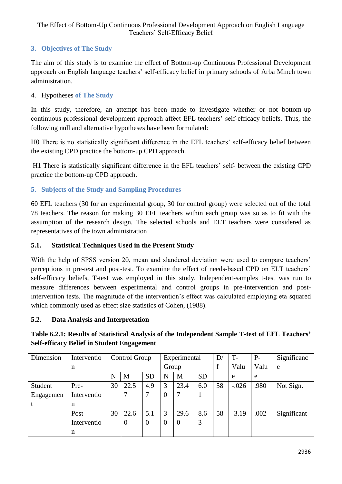# **3. Objectives of The Study**

The aim of this study is to examine the effect of Bottom-up Continuous Professional Development approach on English language teachers' self-efficacy belief in primary schools of Arba Minch town administration.

## 4. Hypotheses **of The Study**

In this study, therefore, an attempt has been made to investigate whether or not bottom-up continuous professional development approach affect EFL teachers' self-efficacy beliefs. Thus, the following null and alternative hypotheses have been formulated:

H0 There is no statistically significant difference in the EFL teachers' self-efficacy belief between the existing CPD practice the bottom-up CPD approach.

H1 There is statistically significant difference in the EFL teachers' self- between the existing CPD practice the bottom-up CPD approach.

## **5. Subjects of the Study and Sampling Procedures**

60 EFL teachers (30 for an experimental group, 30 for control group) were selected out of the total 78 teachers. The reason for making 30 EFL teachers within each group was so as to fit with the assumption of the research design. The selected schools and ELT teachers were considered as representatives of the town administration

## **5.1. Statistical Techniques Used in the Present Study**

With the help of SPSS version 20, mean and slandered deviation were used to compare teachers' perceptions in pre-test and post-test. To examine the effect of needs-based CPD on ELT teachers' self-efficacy beliefs, T-test was employed in this study. Independent-samples t-test was run to measure differences between experimental and control groups in pre-intervention and postintervention tests. The magnitude of the intervention's effect was calculated employing eta squared which commonly used as effect size statistics of Cohen, (1988).

## **5.2. Data Analysis and Interpretation**

| Dimension | Interventio | Control Group |                |                | Experimental |                |           | D/ | $T -$   | $P-$ | Significanc |
|-----------|-------------|---------------|----------------|----------------|--------------|----------------|-----------|----|---------|------|-------------|
|           | n           |               |                |                | Group        |                |           |    | Valu    | Valu | e           |
|           |             | N             | M              | <b>SD</b>      | N            | M              | <b>SD</b> |    | e       | e    |             |
| Student   | Pre-        | 30            | 22.5           | 4.9            | 3            | 23.4           | 6.0       | 58 | $-.026$ | .980 | Not Sign.   |
| Engagemen | Interventio |               |                |                | $\Omega$     |                |           |    |         |      |             |
|           | n           |               |                |                |              |                |           |    |         |      |             |
|           | Post-       | 30            | 22.6           | 5.1            | 3            | 29.6           | 8.6       | 58 | $-3.19$ | .002 | Significant |
|           | Interventio |               | $\overline{0}$ | $\overline{0}$ | $\theta$     | $\overline{0}$ | 3         |    |         |      |             |
|           | n           |               |                |                |              |                |           |    |         |      |             |

# **Table 6.2.1: Results of Statistical Analysis of the Independent Sample T-test of EFL Teachers' Self-efficacy Belief in Student Engagement**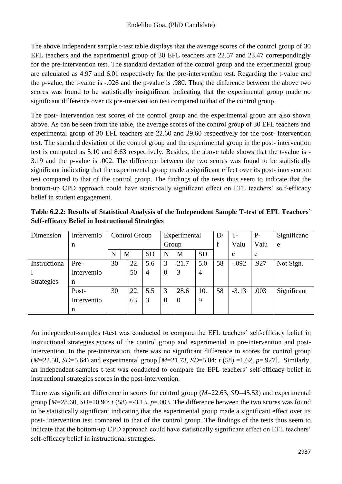The above Independent sample t-test table displays that the average scores of the control group of 30 EFL teachers and the experimental group of 30 EFL teachers are 22.57 and 23.47 correspondingly for the pre-intervention test. The standard deviation of the control group and the experimental group are calculated as 4.97 and 6.01 respectively for the pre-intervention test. Regarding the t-value and the p-value, the t-value is -.026 and the p-value is .980. Thus, the difference between the above two scores was found to be statistically insignificant indicating that the experimental group made no significant difference over its pre-intervention test compared to that of the control group.

The post- intervention test scores of the control group and the experimental group are also shown above. As can be seen from the table, the average scores of the control group of 30 EFL teachers and experimental group of 30 EFL teachers are 22.60 and 29.60 respectively for the post- intervention test. The standard deviation of the control group and the experimental group in the post- intervention test is computed as 5.10 and 8.63 respectively. Besides, the above table shows that the t-value is - 3.19 and the p-value is .002. The difference between the two scores was found to be statistically significant indicating that the experimental group made a significant effect over its post- intervention test compared to that of the control group. The findings of the tests thus seem to indicate that the bottom-up CPD approach could have statistically significant effect on EFL teachers' self-efficacy belief in student engagement.

**Table 6.2.2: Results of Statistical Analysis of the Independent Sample T-test of EFL Teachers' Self-efficacy Belief in Instructional Strategies** 

| Dimension         | Interventio | Control Group |   |     |           | Experimental |                | D/             | $T-$ | $P-$    | Significanc |             |
|-------------------|-------------|---------------|---|-----|-----------|--------------|----------------|----------------|------|---------|-------------|-------------|
|                   | n           |               |   |     |           | Group        |                |                | f    | Valu    | Valu        | e           |
|                   |             | N             | M |     | <b>SD</b> | N            | M              | <b>SD</b>      |      | e       | e           |             |
| Instructiona      | Pre-        | 30            |   | 22. | 5.6       | 3            | 21.7           | 5.0            | 58   | $-.092$ | .927        | Not Sign.   |
|                   | Interventio |               |   | 50  | 4         | $\theta$     | 3              | $\overline{4}$ |      |         |             |             |
| <b>Strategies</b> | n           |               |   |     |           |              |                |                |      |         |             |             |
|                   | Post-       | 30            |   | 22. | 5.5       | 3            | 28.6           | 10.            | 58   | $-3.13$ | .003        | Significant |
|                   | Interventio |               |   | 63  | 3         | $\Omega$     | $\overline{0}$ | 9              |      |         |             |             |
|                   | n           |               |   |     |           |              |                |                |      |         |             |             |

An independent-samples t-test was conducted to compare the EFL teachers' self-efficacy belief in instructional strategies scores of the control group and experimental in pre-intervention and postintervention. In the pre-innervation, there was no significant difference in scores for control group (*M*=22.50, *SD*=5.64) and experimental group [*M*=21.73, *SD*=5.04; *t* (58) =1.62, *p*=.927]. Similarly, an independent-samples t-test was conducted to compare the EFL teachers' self-efficacy belief in instructional strategies scores in the post-intervention.

There was significant difference in scores for control group (*M*=22.63, *SD*=45.53) and experimental group  $[M=28.60, SD=10.90; t(58) = -3.13, p = .003$ . The difference between the two scores was found to be statistically significant indicating that the experimental group made a significant effect over its post- intervention test compared to that of the control group. The findings of the tests thus seem to indicate that the bottom-up CPD approach could have statistically significant effect on EFL teachers' self-efficacy belief in instructional strategies.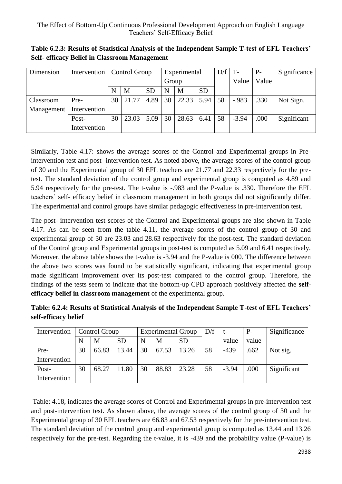| Dimension  |              | Intervention   Control Group |       |           | Experimental        |       |      | D/f | $\vert T - \vert$ | $P-$  | Significance |
|------------|--------------|------------------------------|-------|-----------|---------------------|-------|------|-----|-------------------|-------|--------------|
|            |              |                              |       |           | Group               |       |      |     | Value             | Value |              |
|            |              | N                            | M     | <b>SD</b> | <b>SD</b><br>N<br>M |       |      |     |                   |       |              |
| Classroom  | Pre-         | 30                           | 21.77 | 4.89      | 30                  | 22.33 | 5.94 | 58  | $-.983$           | .330  | Not Sign.    |
| Management | Intervention |                              |       |           |                     |       |      |     |                   |       |              |
|            | Post-        | 30                           | 23.03 | 5.09      | 30                  | 28.63 | 6.41 | 58  | $-3.94$           | .000  | Significant  |
|            | Intervention |                              |       |           |                     |       |      |     |                   |       |              |

**Table 6.2.3: Results of Statistical Analysis of the Independent Sample T-test of EFL Teachers' Self- efficacy Belief in Classroom Management** 

Similarly, Table 4.17: shows the average scores of the Control and Experimental groups in Preintervention test and post- intervention test. As noted above, the average scores of the control group of 30 and the Experimental group of 30 EFL teachers are 21.77 and 22.33 respectively for the pretest. The standard deviation of the control group and experimental group is computed as 4.89 and 5.94 respectively for the pre-test. The t-value is -.983 and the P-value is .330. Therefore the EFL teachers' self- efficacy belief in classroom management in both groups did not significantly differ. The experimental and control groups have similar pedagogic effectiveness in pre-intervention test.

The post- intervention test scores of the Control and Experimental groups are also shown in Table 4.17. As can be seen from the table 4.11, the average scores of the control group of 30 and experimental group of 30 are 23.03 and 28.63 respectively for the post-test. The standard deviation of the Control group and Experimental groups in post-test is computed as 5.09 and 6.41 respectively. Moreover, the above table shows the t-value is -3.94 and the P-value is 000. The difference between the above two scores was found to be statistically significant, indicating that experimental group made significant improvement over its post-test compared to the control group. Therefore, the findings of the tests seem to indicate that the bottom-up CPD approach positively affected the **selfefficacy belief in classroom management** of the experimental group.

| Table: 6.2.4: Results of Statistical Analysis of the Independent Sample T-test of EFL Teachers' |  |
|-------------------------------------------------------------------------------------------------|--|
| self-efficacy belief                                                                            |  |

| Intervention | Control Group |       |           |    | <b>Experimental Group</b> |           | D/f | t-      | $P-$  | Significance |
|--------------|---------------|-------|-----------|----|---------------------------|-----------|-----|---------|-------|--------------|
|              |               | M     | <b>SD</b> | N  | M                         | <b>SD</b> |     | value   | value |              |
| Pre-         | 30            | 66.83 | 13.44     | 30 | 67.53                     | 13.26     | 58  | $-439$  | .662  | Not sig.     |
| Intervention |               |       |           |    |                           |           |     |         |       |              |
| Post-        | 30            | 68.27 | 11.80     | 30 | 88.83                     | 23.28     | 58  | $-3.94$ | .000  | Significant  |
| Intervention |               |       |           |    |                           |           |     |         |       |              |

Table: 4.18, indicates the average scores of Control and Experimental groups in pre-intervention test and post-intervention test. As shown above, the average scores of the control group of 30 and the Experimental group of 30 EFL teachers are 66.83 and 67.53 respectively for the pre-intervention test. The standard deviation of the control group and experimental group is computed as 13.44 and 13.26 respectively for the pre-test. Regarding the t-value, it is -439 and the probability value (P-value) is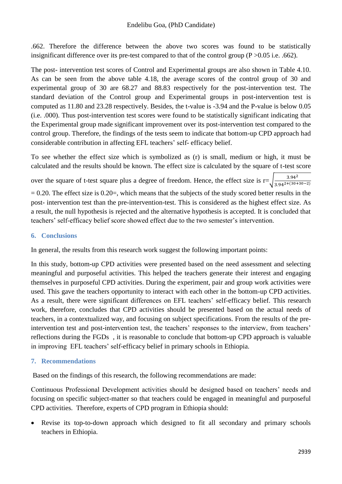.662. Therefore the difference between the above two scores was found to be statistically insignificant difference over its pre-test compared to that of the control group (P >0.05 i.e. .662).

The post- intervention test scores of Control and Experimental groups are also shown in Table 4.10. As can be seen from the above table 4.18, the average scores of the control group of 30 and experimental group of 30 are 68.27 and 88.83 respectively for the post-intervention test. The standard deviation of the Control group and Experimental groups in post-intervention test is computed as 11.80 and 23.28 respectively. Besides, the t-value is -3.94 and the P-value is below 0.05 (i.e. .000). Thus post-intervention test scores were found to be statistically significant indicating that the Experimental group made significant improvement over its post-intervention test compared to the control group. Therefore, the findings of the tests seem to indicate that bottom-up CPD approach had considerable contribution in affecting EFL teachers' self- efficacy belief.

To see whether the effect size which is symbolized as (r) is small, medium or high, it must be calculated and the results should be known. The effect size is calculated by the square of t-test score

over the square of t-test square plus a degree of freedom. Hence, the effect size is  $r=\sqrt{\frac{3.94^2}{2.042+(301)^2}}$  $\frac{3.94^{2}}{3.94^{2}+(30+30-2)}$ 

 $= 0.20$ . The effect size is 0.20 $=$ , which means that the subjects of the study scored better results in the post- intervention test than the pre-intervention-test. This is considered as the highest effect size. As a result, the null hypothesis is rejected and the alternative hypothesis is accepted. It is concluded that teachers' self-efficacy belief score showed effect due to the two semester's intervention.

## **6. Conclusions**

In general, the results from this research work suggest the following important points:

In this study, bottom-up CPD activities were presented based on the need assessment and selecting meaningful and purposeful activities. This helped the teachers generate their interest and engaging themselves in purposeful CPD activities. During the experiment, pair and group work activities were used. This gave the teachers opportunity to interact with each other in the bottom-up CPD activities. As a result, there were significant differences on EFL teachers' self-efficacy belief. This research work, therefore, concludes that CPD activities should be presented based on the actual needs of teachers, in a contextualized way, and focusing on subject specifications. From the results of the preintervention test and post-intervention test, the teachers' responses to the interview, from teachers' reflections during the FGDs , it is reasonable to conclude that bottom-up CPD approach is valuable in improving EFL teachers' self-efficacy belief in primary schools in Ethiopia.

## **7. Recommendations**

Based on the findings of this research, the following recommendations are made:

Continuous Professional Development activities should be designed based on teachers' needs and focusing on specific subject-matter so that teachers could be engaged in meaningful and purposeful CPD activities. Therefore, experts of CPD program in Ethiopia should:

Revise its top-to-down approach which designed to fit all secondary and primary schools teachers in Ethiopia.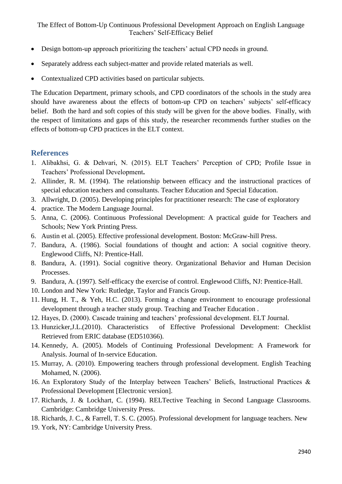- Design bottom-up approach prioritizing the teachers' actual CPD needs in ground.
- Separately address each subject-matter and provide related materials as well.
- Contextualized CPD activities based on particular subjects.

The Education Department, primary schools, and CPD coordinators of the schools in the study area should have awareness about the effects of bottom-up CPD on teachers' subjects' self-efficacy belief. Both the hard and soft copies of this study will be given for the above bodies. Finally, with the respect of limitations and gaps of this study, the researcher recommends further studies on the effects of bottom-up CPD practices in the ELT context.

# **References**

- 1. Alibakhsi, G. & Dehvari, N. (2015). ELT Teachers' Perception of CPD; Profile Issue in Teachers' Professional Development**.**
- 2. Allinder, R. M. (1994). The relationship between efficacy and the instructional practices of special education teachers and consultants. Teacher Education and Special Education.
- 3. Allwright, D. (2005). Developing principles for practitioner research: The case of exploratory
- 4. practice. The Modern Language Journal.
- 5. Anna, C. (2006). Continuous Professional Development: A practical guide for Teachers and Schools; New York Printing Press.
- 6. Austin et al. (2005). Effective professional development. Boston: McGraw-hill Press.
- 7. Bandura, A. (1986). Social foundations of thought and action: A social cognitive theory. Englewood Cliffs, NJ: Prentice-Hall.
- 8. Bandura, A. (1991). Social cognitive theory. Organizational Behavior and Human Decision Processes.
- 9. Bandura, A. (1997). Self-efficacy the exercise of control. Englewood Cliffs, NJ: Prentice-Hall.
- 10. London and New York: Rutledge, Taylor and Francis Group.
- 11. Hung, H. T., & Yeh, H.C. (2013). Forming a change environment to encourage professional development through a teacher study group. Teaching and Teacher Education .
- 12. Hayes, D. (2000). Cascade training and teachers' professional development. ELT Journal.
- 13. Hunzicker,J.L.(2010). Characteristics of Effective Professional Development: Checklist Retrieved from ERIC database (ED510366).
- 14. Kennedy, A. (2005). Models of Continuing Professional Development: A Framework for Analysis. Journal of In-service Education.
- 15. Murray, A. (2010). Empowering teachers through professional development. English Teaching Mohamed, N. (2006).
- 16. An Exploratory Study of the Interplay between Teachers' Beliefs, Instructional Practices & Professional Development [Electronic version].
- 17. Richards, J. & Lockhart, C. (1994). RELTective Teaching in Second Language Classrooms. Cambridge: Cambridge University Press.
- 18. Richards, J. C., & Farrell, T. S. C. (2005). Professional development for language teachers. New
- 19. York, NY: Cambridge University Press.